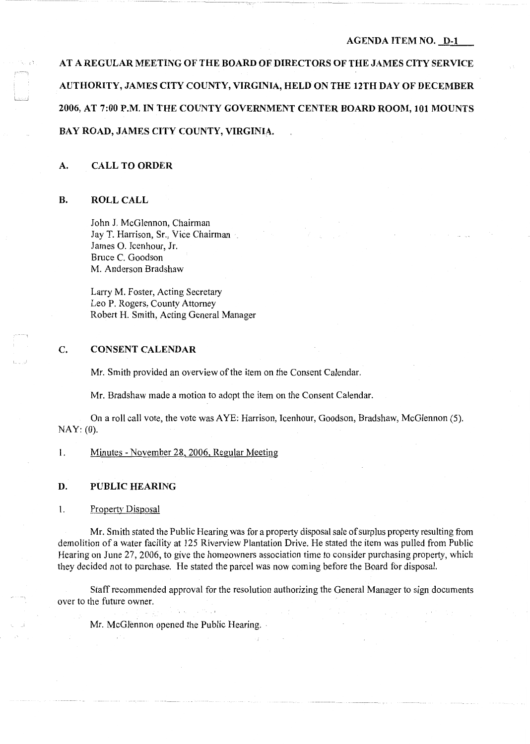#### **AGENDA ITEM NO. D-1**

**AT A REGULAR MEETING OF THE BOARD OF DIRECTORS OF THE JAMES CITY SERVICE AUTHORITY, JAMES CITY COUNTY, VIRGINIA, HELD ON THE 12TH DAY OF DECEMBER 2006, AT 7:00 P.M. IN THE COUNTY GOVERNMENT CENTER BOARD ROOM, 101 MOUNTS BAY ROAD, JAMES CITY COUNTY, VIRGINIA.** 

# **A. CALL TO ORDER**

## **B. ROLL CALL**

John J. McGlennon, Chairman Jay T. Harrison, Sr., Vice Chairman James 0. Icenhour, Jr. Bruce C. Goodson M. Anderson Bradshaw

Larry M. Foster, Acting Secretary Leo **P.** Rogers, County Attorney Robert H. Smith, Acting General Manager

# **C. CONSENT CALENDAR**

Mr. Smith provided an overview of the item on the Consent Calendar.

Mr. Bradshaw made a motion to adopt the item on the Consent Calendar.

On a roll call vote, the vote was AYE: Harrison, Icenhour, Goodson, Bradshaw, McGlennon (5). NAY: (0).

**1.** Minutes - November 28, 2006, Regular Meeting

### **D. PUBLIC HEARING**

1. Property Disposal

Mr. Smith stated the Public Hearing was for a property disposal sale of surplus property resulting from demolition of a water facility at 125 Riverview Plantation Drive. He stated the item was pulled from Public Hearing on June 27, 2006, to give the homeowners association time to consider purchasing property, which they decided not to purchase. He stated the parcel was now coming before the Board for disposal.

Staff recommended approval for the resolution authorizing the General Manager to sign documents over to the future owner.

Mr. McGlennon opened the Public Hearing.